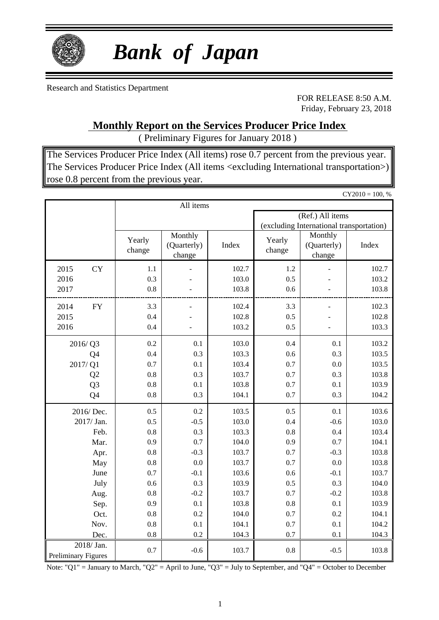

# *Bank of Japan*

Research and Statistics Department

FOR RELEASE 8:50 A.M. Friday, February 23, 2018

### **Monthly Report on the Services Producer Price Index**

( Preliminary Figures for January 2018 )

The Services Producer Price Index (All items) rose 0.7 percent from the previous year. The Services Producer Price Index (All items <excluding International transportation>) rose 0.8 percent from the previous year.

|                     |                                   |                                  |       |                                          |                                  | $CY2010 = 100, %$ |  |  |
|---------------------|-----------------------------------|----------------------------------|-------|------------------------------------------|----------------------------------|-------------------|--|--|
|                     |                                   | All items                        |       |                                          |                                  |                   |  |  |
|                     |                                   |                                  |       |                                          | (Ref.) All items                 |                   |  |  |
|                     |                                   |                                  |       | (excluding International transportation) |                                  |                   |  |  |
|                     | Yearly<br>change                  | Monthly<br>(Quarterly)<br>change | Index | Yearly<br>change                         | Monthly<br>(Quarterly)<br>change | Index             |  |  |
| <b>CY</b><br>2015   | 1.1                               |                                  | 102.7 | 1.2                                      |                                  | 102.7             |  |  |
| 2016                | 0.3                               |                                  | 103.0 | 0.5                                      |                                  | 103.2             |  |  |
| 2017                | 0.8                               |                                  | 103.8 | 0.6                                      |                                  | 103.8             |  |  |
| 2014<br>${\rm FY}$  | 3.3                               |                                  | 102.4 | 3.3                                      |                                  | 102.3             |  |  |
| 2015                | 0.4                               |                                  | 102.8 | 0.5                                      |                                  | 102.8             |  |  |
| 2016                | 0.4                               |                                  | 103.2 | 0.5                                      |                                  | 103.3             |  |  |
| 2016/Q3             | 103.0<br>0.4<br>0.2<br>0.1<br>0.1 |                                  |       |                                          |                                  | 103.2             |  |  |
| Q4                  | 0.4                               | 0.3                              | 103.3 | 0.6                                      | 0.3                              | 103.5             |  |  |
| 2017/Q1             | 0.7                               | 0.1                              | 103.4 | 0.7                                      | 0.0                              | 103.5             |  |  |
| Q <sub>2</sub>      | 0.8                               | 0.3                              | 103.7 | 0.7                                      | 0.3                              | 103.8             |  |  |
| Q <sub>3</sub>      | 0.8                               | 0.1                              | 103.8 | 0.7                                      | 0.1                              | 103.9             |  |  |
| Q4                  | 0.8                               | 0.3                              | 104.1 | 0.7                                      | 0.3                              | 104.2             |  |  |
| 2016/Dec.           | 0.5                               | 0.2                              | 103.5 | 0.5                                      | 0.1                              | 103.6             |  |  |
| 2017/ Jan.          | 0.5                               | $-0.5$                           | 103.0 | 0.4                                      | $-0.6$                           | 103.0             |  |  |
| Feb.                | 0.8                               | 0.3                              | 103.3 | 0.8                                      | 0.4                              | 103.4             |  |  |
| Mar.                | 0.9                               | 0.7                              | 104.0 | 0.9                                      | 0.7                              | 104.1             |  |  |
| Apr.                | 0.8                               | $-0.3$                           | 103.7 | 0.7                                      | $-0.3$                           | 103.8             |  |  |
| May                 | 0.8                               | 0.0                              | 103.7 | 0.7                                      | 0.0                              | 103.8             |  |  |
| June                | 0.7                               | $-0.1$                           | 103.6 | 0.6                                      | $-0.1$                           | 103.7             |  |  |
| July                | 0.6                               | 0.3                              | 103.9 | 0.5                                      | 0.3                              | 104.0             |  |  |
| Aug.                | 0.8                               | $-0.2$                           | 103.7 | 0.7                                      | $-0.2$                           | 103.8             |  |  |
| Sep.                | 0.9                               | 0.1                              | 103.8 | 0.8                                      | 0.1                              | 103.9             |  |  |
| Oct.                | 0.8                               | 0.2                              | 104.0 | 0.7                                      | 0.2                              | 104.1             |  |  |
| Nov.                | 0.8                               | 0.1                              | 104.1 | 0.7                                      | 0.1                              | 104.2             |  |  |
| Dec.                | 0.8                               | 0.2                              | 104.3 | 0.7                                      | 0.1                              | 104.3             |  |  |
| 2018/Jan.           | 0.7                               | $-0.6$                           | 103.7 | 0.8                                      | $-0.5$                           | 103.8             |  |  |
| Preliminary Figures |                                   |                                  |       |                                          |                                  |                   |  |  |

Note: "Q1" = January to March, "Q2" = April to June, "Q3" = July to September, and "Q4" = October to December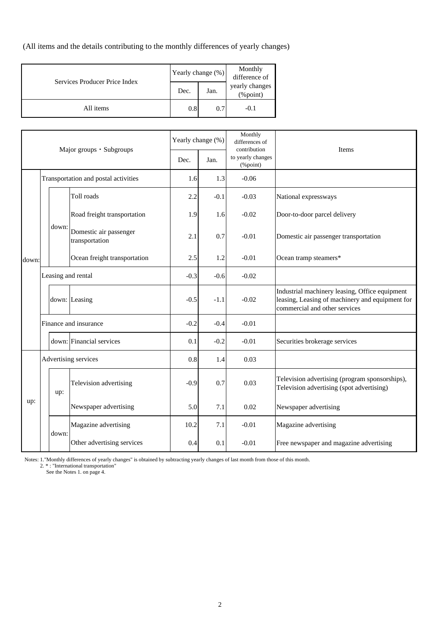(All items and the details contributing to the monthly differences of yearly changes)

| Services Producer Price Index | Yearly change (%) |      | Monthly<br>difference of                          |  |
|-------------------------------|-------------------|------|---------------------------------------------------|--|
|                               | Dec.              | Jan. | yearly changes<br>$(% \mathcal{L}_{0})$ (% point) |  |
| All items                     | 0.8               | 0.7  | $-0.1$                                            |  |

|       | Major groups · Subgroups |                       |                                          | Yearly change (%) | Monthly<br>differences of<br>contribution | Items                         |                                                                                                                                    |
|-------|--------------------------|-----------------------|------------------------------------------|-------------------|-------------------------------------------|-------------------------------|------------------------------------------------------------------------------------------------------------------------------------|
|       |                          |                       |                                          | Dec.              | Jan.                                      | to yearly changes<br>(%point) |                                                                                                                                    |
|       |                          |                       | Transportation and postal activities     | 1.6               | 1.3                                       | $-0.06$                       |                                                                                                                                    |
|       |                          |                       | Toll roads                               | 2.2               | $-0.1$                                    | $-0.03$                       | National expressways                                                                                                               |
|       |                          |                       | Road freight transportation              | 1.9               | 1.6                                       | $-0.02$                       | Door-to-door parcel delivery                                                                                                       |
|       |                          | down:                 | Domestic air passenger<br>transportation | 2.1               | 0.7                                       | $-0.01$                       | Domestic air passenger transportation                                                                                              |
| down: |                          |                       | Ocean freight transportation             | 2.5               | 1.2                                       | $-0.01$                       | Ocean tramp steamers*                                                                                                              |
|       |                          | Leasing and rental    |                                          | $-0.3$            | $-0.6$                                    | $-0.02$                       |                                                                                                                                    |
|       |                          |                       | down: Leasing                            | $-0.5$            | $-1.1$                                    | $-0.02$                       | Industrial machinery leasing, Office equipment<br>leasing, Leasing of machinery and equipment for<br>commercial and other services |
|       |                          | Finance and insurance |                                          | $-0.2$            | $-0.4$                                    | $-0.01$                       |                                                                                                                                    |
|       |                          |                       | down: Financial services                 | 0.1               | $-0.2$                                    | $-0.01$                       | Securities brokerage services                                                                                                      |
|       |                          |                       | Advertising services                     |                   | 1.4                                       | 0.03                          |                                                                                                                                    |
|       |                          | up:                   | Television advertising                   | $-0.9$            | 0.7                                       | 0.03                          | Television advertising (program sponsorships),<br>Television advertising (spot advertising)                                        |
| up:   |                          |                       | Newspaper advertising                    | 5.0               | 7.1                                       | 0.02                          | Newspaper advertising                                                                                                              |
|       |                          | down:                 | Magazine advertising                     | 10.2              | 7.1                                       | $-0.01$                       | Magazine advertising                                                                                                               |
|       |                          |                       | Other advertising services               | 0.4               | 0.1                                       | $-0.01$                       | Free newspaper and magazine advertising                                                                                            |

Notes: 1."Monthly differences of yearly changes" is obtained by subtracting yearly changes of last month from those of this month. 2. \* : "International transportation"

See the Notes 1. on page 4.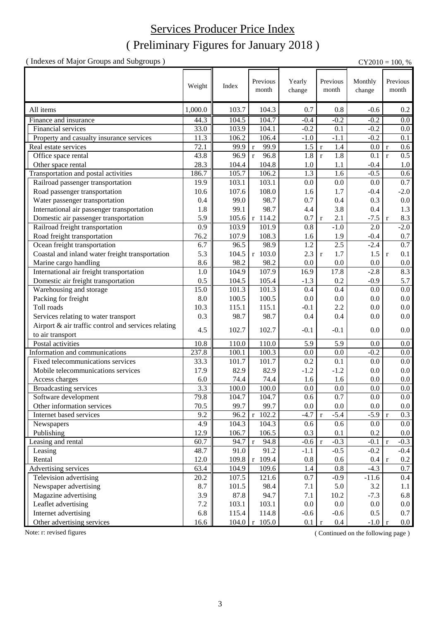## ( Preliminary Figures for January 2018 ) Services Producer Price Index

( Indexes of Major Groups and Subgroups ) CY2010 = 100, %

|                                                     | Weight  | Index | Previous<br>month         | Yearly<br>change | Previous<br>month     | Monthly<br>change | Previous<br>month      |
|-----------------------------------------------------|---------|-------|---------------------------|------------------|-----------------------|-------------------|------------------------|
| All items                                           | 1,000.0 | 103.7 | 104.3                     | 0.7              | 0.8                   | $-0.6$            | $0.2\,$                |
| Finance and insurance                               | 44.3    | 104.5 | 104.7                     | $-0.4$           | $-0.2$                | $-0.2$            | 0.0                    |
| Financial services                                  | 33.0    | 103.9 | 104.1                     | $-0.2$           | 0.1                   | $-0.2$            | 0.0                    |
| Property and casualty insurance services            | 11.3    | 106.2 | 106.4                     | $-1.0$           | $-1.1$                | $-0.2$            | 0.1                    |
| Real estate services                                | 72.1    | 99.9  | 99.9<br>$\mathbf{r}$      | 1.5              | 1.4<br>$\mathbf r$    | 0.0               | 0.6<br>$\mathbf r$     |
| Office space rental                                 | 43.8    | 96.9  | 96.8<br>$\mathbf{r}$      | 1.8              | 1.8<br>$\mathbf r$    | 0.1               | 0.5<br>$\mathbf r$     |
| Other space rental                                  | 28.3    | 104.4 | 104.8                     | 1.0              | 1.1                   | $-0.4$            | 1.0                    |
| Transportation and postal activities                | 186.7   | 105.7 | 106.2                     | 1.3              | 1.6                   | $-0.5$            | 0.6                    |
| Railroad passenger transportation                   | 19.9    | 103.1 | 103.1                     | 0.0              | 0.0                   | 0.0               | 0.7                    |
| Road passenger transportation                       | 10.6    | 107.6 | 108.0                     | 1.6              | 1.7                   | $-0.4$            | $-2.0$                 |
| Water passenger transportation                      | 0.4     | 99.0  | 98.7                      | 0.7              | 0.4                   | 0.3               | $0.0\,$                |
| International air passenger transportation          | 1.8     | 99.1  | 98.7                      | 4.4              | 3.8                   | 0.4               | 1.3                    |
| Domestic air passenger transportation               | 5.9     | 105.6 | $r$ 114.2                 | 0.7              | 2.1<br>$\mathbf r$    | $-7.5$            | 8.3<br>$\mathbf{r}$    |
| Railroad freight transportation                     | 0.9     | 103.9 | 101.9                     | 0.8              | $-1.0$                | 2.0               | $-2.0$                 |
| Road freight transportation                         | 76.2    | 107.9 | 108.3                     | 1.6              | 1.9                   | $-0.4$            | 0.7                    |
| Ocean freight transportation                        | 6.7     | 96.5  | 98.9                      | 1.2              | 2.5                   | $-2.4$            | $\overline{0.7}$       |
| Coastal and inland water freight transportation     | 5.3     | 104.5 | r 103.0                   | 2.3              | 1.7<br>$\mathbf r$    | 1.5               | 0.1<br>$\mathbf{r}$    |
| Marine cargo handling                               | 8.6     | 98.2  | 98.2                      | 0.0              | 0.0                   | 0.0               | $0.0\,$                |
| International air freight transportation            | 1.0     | 104.9 | 107.9                     | 16.9             | 17.8                  | $-2.8$            | 8.3                    |
| Domestic air freight transportation                 | 0.5     | 104.5 | 105.4                     | $-1.3$           | 0.2                   | $-0.9$            | 5.7                    |
| Warehousing and storage                             | 15.0    | 101.3 | 101.3                     | 0.4              | 0.4                   | 0.0               | 0.0                    |
| Packing for freight                                 | 8.0     | 100.5 | 100.5                     | 0.0              | 0.0                   | 0.0               | 0.0                    |
| Toll roads                                          | 10.3    | 115.1 | 115.1                     | $-0.1$           | 2.2                   | 0.0               | 0.0                    |
| Services relating to water transport                | 0.3     | 98.7  | 98.7                      | 0.4              | 0.4                   | 0.0               | 0.0                    |
| Airport & air traffic control and services relating |         |       |                           |                  |                       |                   |                        |
| to air transport                                    | 4.5     | 102.7 | 102.7                     | $-0.1$           | $-0.1$                | 0.0               | 0.0                    |
| Postal activities                                   | 10.8    | 110.0 | 110.0                     | 5.9              | 5.9                   | 0.0               | $0.0\,$                |
| Information and communications                      | 237.8   | 100.1 | 100.3                     | 0.0              | 0.0                   | $-0.2$            | 0.0                    |
| Fixed telecommunications services                   | 33.3    | 101.7 | 101.7                     | 0.2              | 0.1                   | 0.0               | $0.0\,$                |
| Mobile telecommunications services                  | 17.9    | 82.9  | 82.9                      | $-1.2$           | $-1.2$                | $0.0\,$           | 0.0                    |
| Access charges                                      | 6.0     | 74.4  | 74.4                      | 1.6              | 1.6                   | 0.0               | 0.0                    |
| <b>Broadcasting services</b>                        | 3.3     | 100.0 | 100.0                     | $0.0\,$          | 0.0                   | 0.0               | 0.0                    |
| Software development                                | 79.8    | 104.7 | 104.7                     | 0.6              | 0.7                   | $0.0\,$           | 0.0                    |
| Other information services                          | 70.5    | 99.7  | 99.7                      | $0.0\,$          | $0.0\,$               | $0.0\,$           | $0.0\,$                |
| Internet based services                             | 9.2     | 96.2  | $r$ 102.2                 | $-4.7$           | $-5.4$<br>$\mathbf r$ | $-5.9$            | 0.3<br>$\mathbf{r}$    |
| Newspapers                                          | 4.9     | 104.3 | 104.3                     | 0.6              | 0.6                   | $0.0\,$           | 0.0                    |
| Publishing                                          | 12.9    | 106.7 | 106.5                     | 0.3              | 0.1                   | 0.2               | $0.0\,$                |
| Leasing and rental                                  | 60.7    | 94.7  | 94.8<br>$\mathbf r$       | $-0.6$           | $-0.3$<br>$\mathbf r$ | $-0.1$            | $-0.3$<br>$\mathbf{r}$ |
| Leasing                                             | 48.7    | 91.0  | 91.2                      | $-1.1$           | $-0.5$                | $-0.2$            | $-0.4$                 |
| Rental                                              | 12.0    | 109.8 | $r$ 109.4                 | 0.8              | 0.6                   | 0.4 r             | $0.2\,$                |
| Advertising services                                | 63.4    | 104.9 | 109.6                     | 1.4              | 0.8                   | $-4.3$            | 0.7                    |
| Television advertising                              | 20.2    | 107.5 | 121.6                     | 0.7              | $-0.9$                | $-11.6$           | $0.4\,$                |
| Newspaper advertising                               | 8.7     | 101.5 | 98.4                      | 7.1              | 5.0                   | 3.2               | 1.1                    |
| Magazine advertising                                | 3.9     | 87.8  | 94.7                      | 7.1              | 10.2                  | $-7.3$            | 6.8                    |
| Leaflet advertising                                 | 7.2     | 103.1 | 103.1                     | 0.0              | 0.0                   | $0.0\,$           | $0.0\,$                |
| Internet advertising                                | 6.8     | 115.4 | 114.8                     | $-0.6$           | $-0.6$                | 0.5               | 0.7                    |
| Other advertising services                          | 16.6    |       | $104.0 \mid r \mid 105.0$ | $0.1 \mid r$     | $0.4\,$               | $-1.0 r$          | $0.0\,$                |

Note: r: revised figures (Continued on the following page)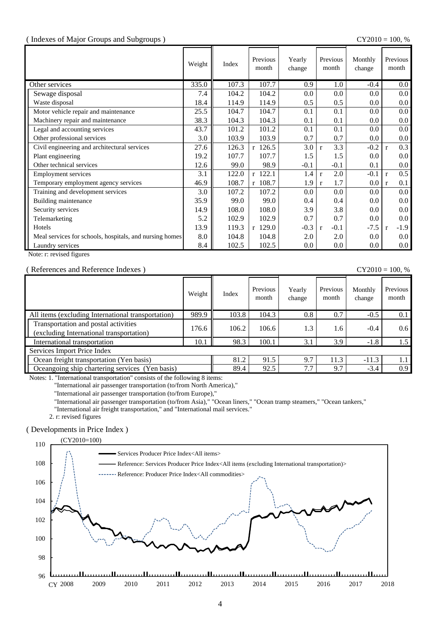#### ( Indexes of Major Groups and Subgroups ) CY2010 = 100, %

|                                                         | Weight | Index | Previous<br>month | Yearly<br>change | Previous<br>month      | Monthly<br>change | Previous<br>month      |
|---------------------------------------------------------|--------|-------|-------------------|------------------|------------------------|-------------------|------------------------|
| Other services                                          | 335.0  | 107.3 | 107.7             | 0.9              | 1.0                    | $-0.4$            | $0.0\,$                |
| Sewage disposal                                         | 7.4    | 104.2 | 104.2             | 0.0              | 0.0                    | 0.0               | 0.0 <sub>1</sub>       |
| Waste disposal                                          | 18.4   | 114.9 | 114.9             | 0.5              | 0.5                    | 0.0               | $0.0\,$                |
| Motor vehicle repair and maintenance                    | 25.5   | 104.7 | 104.7             | 0.1              | 0.1                    | 0.0               | $0.0\,$                |
| Machinery repair and maintenance                        | 38.3   | 104.3 | 104.3             | 0.1              | 0.1                    | 0.0               | $0.0\,$                |
| Legal and accounting services                           | 43.7   | 101.2 | 101.2             | 0.1              | 0.1                    | 0.0               | 0.0 <sub>1</sub>       |
| Other professional services                             | 3.0    | 103.9 | 103.9             | 0.7              | 0.7                    | 0.0               | $0.0\,$                |
| Civil engineering and architectural services            | 27.6   | 126.3 | $r$ 126.5         | 3.0              | 3.3<br>$\mathbf{r}$    | $-0.2$            | 0.3<br>$\mathbf{r}$    |
| Plant engineering                                       | 19.2   | 107.7 | 107.7             | 1.5              | 1.5                    | 0.0               | $0.0\,$                |
| Other technical services                                | 12.6   | 99.0  | 98.9              | $-0.1$           | $-0.1$                 | 0.1               | $0.0\,$                |
| <b>Employment services</b>                              | 3.1    | 122.0 | r 122.1           | 1.4              | 2.0<br>$\mathbf{r}$    | $-0.1$            | 0.5<br>$\mathbf{r}$    |
| Temporary employment agency services                    | 46.9   | 108.7 | $r$ 108.7         | 1.9              | 1.7<br>$\mathbf{r}$    | 0.0               | 0.1<br>$\mathbf{r}$    |
| Training and development services                       | 3.0    | 107.2 | 107.2             | 0.0              | 0.0                    | 0.0               | 0.0 <sub>1</sub>       |
| Building maintenance                                    | 35.9   | 99.0  | 99.0              | 0.4              | 0.4                    | 0.0               | $0.0\,$                |
| Security services                                       | 14.9   | 108.0 | 108.0             | 3.9              | 3.8                    | $0.0\,$           | $0.0\,$                |
| Telemarketing                                           | 5.2    | 102.9 | 102.9             | 0.7              | 0.7                    | 0.0               | $0.0\,$                |
| Hotels                                                  | 13.9   | 119.3 | $r$ 129.0         | $-0.3$           | $-0.1$<br>$\mathbf{r}$ | $-7.5$            | $-1.9$<br>$\mathbf{r}$ |
| Meal services for schools, hospitals, and nursing homes | 8.0    | 104.8 | 104.8             | 2.0              | 2.0                    | 0.0               | $0.0\,$                |
| Laundry services                                        | 8.4    | 102.5 | 102.5             | 0.0              | 0.0                    | 0.0               | $0.0\,$                |

Note: r: revised figures

#### ( References and Reference Indexes ) CY2010 = 100, %

|                                                                                  | Weight | Index | Previous<br>month | Yearly<br>change | Previous<br>month | Monthly<br>change | Previous<br>month |
|----------------------------------------------------------------------------------|--------|-------|-------------------|------------------|-------------------|-------------------|-------------------|
| All items (excluding International transportation)                               | 989.9  | 103.8 | 104.3             | 0.8              | 0.7               | $-0.5$            | 0.1               |
| Transportation and postal activities<br>(excluding International transportation) | 176.6  | 106.2 | 106.6             | 1.3              | 1.6               | $-0.4$            | 0.6               |
| International transportation                                                     | 10.1   | 98.3  | 100.1             | 3.1              | 3.9               | $-1.8$            | 1.5               |
| Services Import Price Index                                                      |        |       |                   |                  |                   |                   |                   |
| Ocean freight transportation (Yen basis)                                         | 81.2   | 91.5  | 9.7               | 11.3             | $-11.3$           | 1.1               |                   |
| Oceangoing ship chartering services (Yen basis)                                  |        | 89.4  | 92.5              | 7.7              | 9.7               | $-3.4$            | 0.9               |

Notes: 1. "International transportation" consists of the following 8 items:

"International air passenger transportation (to/from North America),"

"International air passenger transportation (to/from Europe),"

"International air passenger transportation (to/from Asia)," "Ocean liners," "Ocean tramp steamers," "Ocean tankers,"

"International air freight transportation," and "International mail services."

2. r: revised figures

#### ( Developments in Price Index )